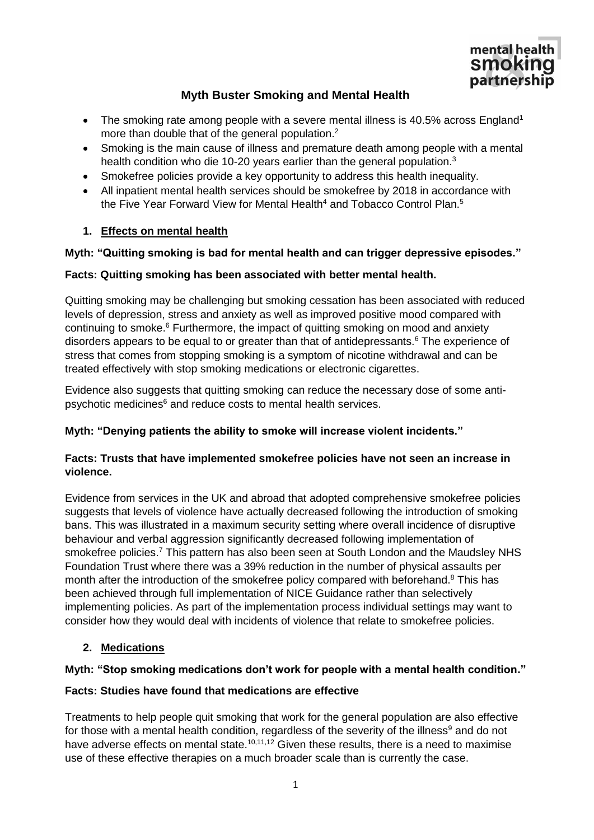

# **Myth Buster Smoking and Mental Health**

- The smoking rate among people with a severe mental illness is 40.5% across England<sup>1</sup> more than double that of the general population.<sup>2</sup>
- Smoking is the main cause of illness and premature death among people with a mental health condition who die 10-20 years earlier than the general population.<sup>3</sup>
- Smokefree policies provide a key opportunity to address this health inequality.
- All inpatient mental health services should be smokefree by 2018 in accordance with the Five Year Forward View for Mental Health<sup>4</sup> and Tobacco Control Plan.<sup>5</sup>

## **1. Effects on mental health**

## **Myth: "Quitting smoking is bad for mental health and can trigger depressive episodes."**

## **Facts: Quitting smoking has been associated with better mental health.**

<span id="page-0-0"></span>Quitting smoking may be challenging but smoking cessation has been associated with reduced levels of depression, stress and anxiety as well as improved positive mood compared with continuing to smoke.<sup>6</sup> Furthermore, the impact of quitting smoking on mood and anxiety disorders appears to be equal to or greater than that of antidepressants[.](#page-0-0)<sup>6</sup> The experience of stress that comes from stopping smoking is a symptom of nicotine withdrawal and can be treated effectively with stop smoking medications or electronic cigarettes.

Evidence also suggests that quitting smoking can reduce the necessary dose of some antip[s](#page-0-0)ychotic medicines<sup>6</sup> and reduce costs to mental health services.

## **Myth: "Denying patients the ability to smoke will increase violent incidents."**

### **Facts: Trusts that have implemented smokefree policies have not seen an increase in violence.**

Evidence from services in the UK and abroad that adopted comprehensive smokefree policies suggests that levels of violence have actually decreased following the introduction of smoking bans. This was illustrated in a maximum security setting where overall incidence of disruptive behaviour and verbal aggression significantly decreased following implementation of smokefree policies.<sup>7</sup> This pattern has also been seen at South London and the Maudsley NHS Foundation Trust where there was a 39% reduction in the number of physical assaults per month after the introduction of the smokefree policy compared with beforehand.<sup>8</sup> This has been achieved through full implementation of NICE Guidance rather than selectively implementing policies. As part of the implementation process individual settings may want to consider how they would deal with incidents of violence that relate to smokefree policies.

## **2. Medications**

## **Myth: "Stop smoking medications don't work for people with a mental health condition."**

#### **Facts: Studies have found that medications are effective**

Treatments to help people quit smoking that work for the general population are also effective for those with a mental health condition, regardless of the severity of the illness<sup>9</sup> and do not have adverse effects on mental state.<sup>10,11,12</sup> Given these results, there is a need to maximise use of these effective therapies on a much broader scale than is currently the case.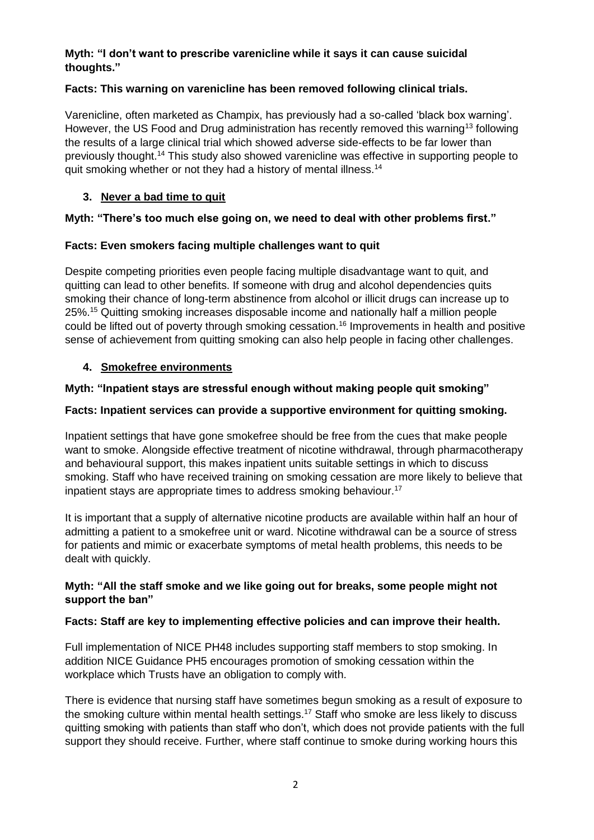### **Myth: "I don't want to prescribe varenicline while it says it can cause suicidal thoughts."**

## **Facts: This warning on varenicline has been removed following clinical trials.**

Varenicline, often marketed as Champix, has previously had a so-called 'black box warning'. However, the US Food and Drug administration has recently removed this warning<sup>13</sup> following the results of a large clinical trial which showed adverse side-effects to be far lower than previously thought.<sup>14</sup> This study also showed varenicline was effective in supporting people to quit smoking whether or not they had a history of mental illness.<sup>[14](#page-1-0)</sup>

## <span id="page-1-0"></span>**3. Never a bad time to quit**

## **Myth: "There's too much else going on, we need to deal with other problems first."**

## **Facts: Even smokers facing multiple challenges want to quit**

Despite competing priorities even people facing multiple disadvantage want to quit, and quitting can lead to other benefits. If someone with drug and alcohol dependencies quits smoking their chance of long-term abstinence from alcohol or illicit drugs can increase up to 25%.<sup>15</sup> Quitting smoking increases disposable income and nationally half a million people could be lifted out of poverty through smoking cessation.<sup>16</sup> Improvements in health and positive sense of achievement from quitting smoking can also help people in facing other challenges.

### **4. Smokefree environments**

### **Myth: "Inpatient stays are stressful enough without making people quit smoking"**

### **Facts: Inpatient services can provide a supportive environment for quitting smoking.**

Inpatient settings that have gone smokefree should be free from the cues that make people want to smoke. Alongside effective treatment of nicotine withdrawal, through pharmacotherapy and behavioural support, this makes inpatient units suitable settings in which to discuss smoking. Staff who have received training on smoking cessation are more likely to believe that inpatient stays are appropriate times to address smoking behaviour.<sup>17</sup>

<span id="page-1-1"></span>It is important that a supply of alternative nicotine products are available within half an hour of admitting a patient to a smokefree unit or ward. Nicotine withdrawal can be a source of stress for patients and mimic or exacerbate symptoms of metal health problems, this needs to be dealt with quickly.

### **Myth: "All the staff smoke and we like going out for breaks, some people might not support the ban"**

#### **Facts: Staff are key to implementing effective policies and can improve their health.**

Full implementation of NICE PH48 includes supporting staff members to stop smoking. In addition NICE Guidance PH5 encourages promotion of smoking cessation within the workplace which Trusts have an obligation to comply with.

There is evidence that nursing staff have sometimes begun smoking as a result of exposure to the smoking culture within mental health settings.<sup>[17](#page-1-1)</sup> Staff who smoke are less likely to discuss quitting smoking with patients than staff who don't, which does not provide patients with the full support they should receive. Further, where staff continue to smoke during working hours this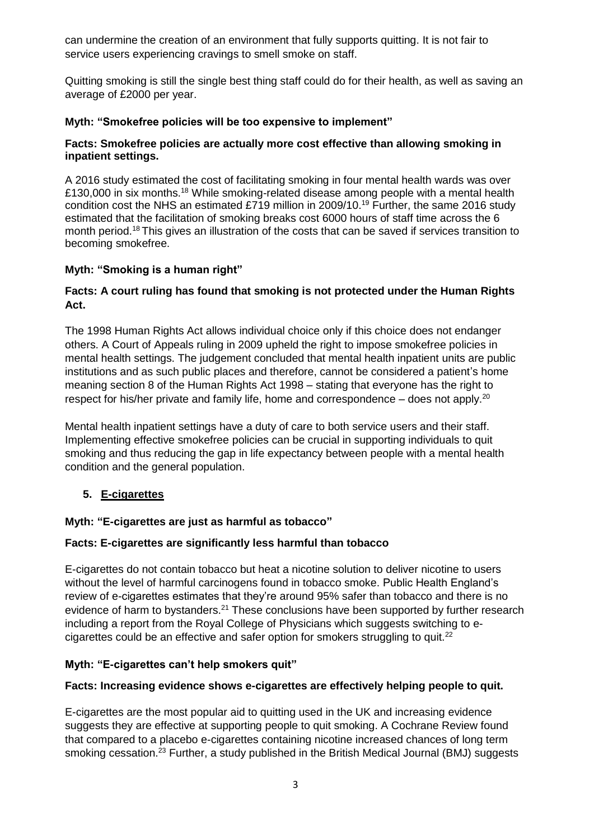can undermine the creation of an environment that fully supports quitting. It is not fair to service users experiencing cravings to smell smoke on staff.

Quitting smoking is still the single best thing staff could do for their health, as well as saving an average of £2000 per year.

### **Myth: "Smokefree policies will be too expensive to implement"**

#### **Facts: Smokefree policies are actually more cost effective than allowing smoking in inpatient settings.**

<span id="page-2-0"></span>A 2016 study estimated the cost of facilitating smoking in four mental health wards was over £130,000 in six months.<sup>18</sup> While smoking-related disease among people with a mental health condition cost the NHS an estimated £719 million in 2009/10.<sup>19</sup> Further, the same 2016 study estimated that the facilitation of smoking breaks cost 6000 hours of staff time across the 6 month period.[18](#page-2-0) This gives an illustration of the costs that can be saved if services transition to becoming smokefree.

### **Myth: "Smoking is a human right"**

### **Facts: A court ruling has found that smoking is not protected under the Human Rights Act.**

The 1998 Human Rights Act allows individual choice only if this choice does not endanger others. A Court of Appeals ruling in 2009 upheld the right to impose smokefree policies in mental health settings. The judgement concluded that mental health inpatient units are public institutions and as such public places and therefore, cannot be considered a patient's home meaning section 8 of the Human Rights Act 1998 – stating that everyone has the right to respect for his/her private and family life, home and correspondence  $-$  does not apply.<sup>20</sup>

Mental health inpatient settings have a duty of care to both service users and their staff. Implementing effective smokefree policies can be crucial in supporting individuals to quit smoking and thus reducing the gap in life expectancy between people with a mental health condition and the general population.

## **5. E-cigarettes**

#### **Myth: "E-cigarettes are just as harmful as tobacco"**

#### **Facts: E-cigarettes are significantly less harmful than tobacco**

E-cigarettes do not contain tobacco but heat a nicotine solution to deliver nicotine to users without the level of harmful carcinogens found in tobacco smoke. Public Health England's review of e-cigarettes estimates that they're around 95% safer than tobacco and there is no evidence of harm to bystanders.<sup>21</sup> These conclusions have been supported by further research including a report from the Royal College of Physicians which suggests switching to ecigarettes could be an effective and safer option for smokers struggling to quit. $22$ 

#### **Myth: "E-cigarettes can't help smokers quit"**

#### **Facts: Increasing evidence shows e-cigarettes are effectively helping people to quit.**

E-cigarettes are the most popular aid to quitting used in the UK and increasing evidence suggests they are effective at supporting people to quit smoking. A Cochrane Review found that compared to a placebo e-cigarettes containing nicotine increased chances of long term smoking cessation.<sup>23</sup> Further, a study published in the British Medical Journal (BMJ) suggests